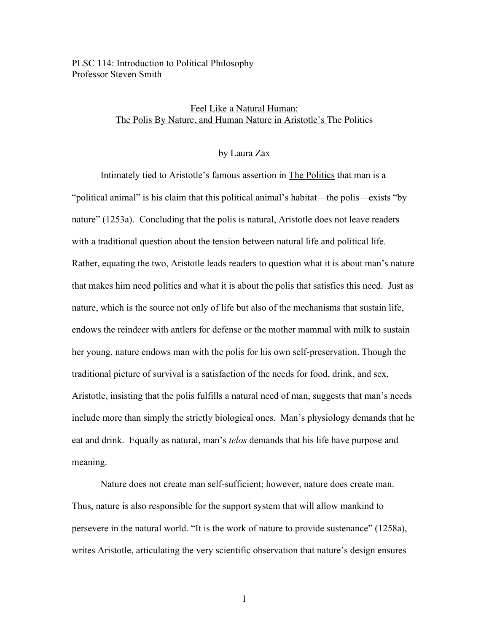PLSC 114: Introduction to Political Philosophy Professor Steven Smith

## Feel Like a Natural Human: The Polis By Nature, and Human Nature in Aristotle's The Politics

## by Laura Zax

Intimately tied to Aristotle's famous assertion in The Politics that man is a "political animal" is his claim that this political animal's habitat—the polis—exists "by nature" (1253a). Concluding that the polis is natural, Aristotle does not leave readers with a traditional question about the tension between natural life and political life. Rather, equating the two, Aristotle leads readers to question what it is about man's nature that makes him need politics and what it is about the polis that satisfies this need. Just as nature, which is the source not only of life but also of the mechanisms that sustain life, endows the reindeer with antlers for defense or the mother mammal with milk to sustain her young, nature endows man with the polis for his own self-preservation. Though the traditional picture of survival is a satisfaction of the needs for food, drink, and sex, Aristotle, insisting that the polis fulfills a natural need of man, suggests that man's needs include more than simply the strictly biological ones. Man's physiology demands that he eat and drink. Equally as natural, man's *telos* demands that his life have purpose and meaning.

Nature does not create man self-sufficient; however, nature does create man. Thus, nature is also responsible for the support system that will allow mankind to persevere in the natural world. "It is the work of nature to provide sustenance" (1258a), writes Aristotle, articulating the very scientific observation that nature's design ensures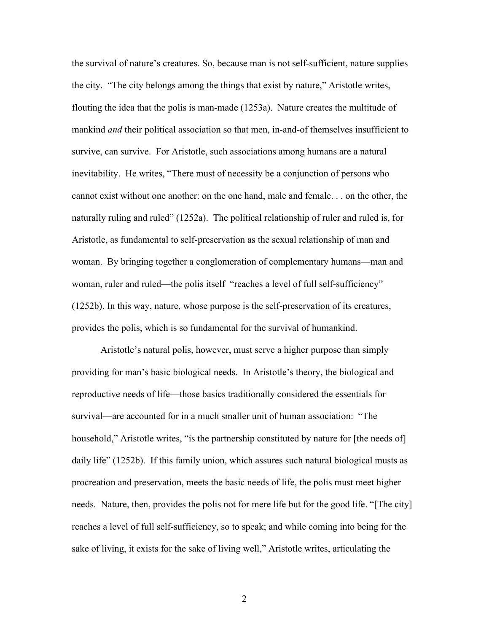the survival of nature's creatures. So, because man is not self-sufficient, nature supplies the city. "The city belongs among the things that exist by nature," Aristotle writes, flouting the idea that the polis is man-made (1253a). Nature creates the multitude of mankind *and* their political association so that men, in-and-of themselves insufficient to survive, can survive. For Aristotle, such associations among humans are a natural inevitability. He writes, "There must of necessity be a conjunction of persons who cannot exist without one another: on the one hand, male and female. . . on the other, the naturally ruling and ruled" (1252a). The political relationship of ruler and ruled is, for Aristotle, as fundamental to self-preservation as the sexual relationship of man and woman. By bringing together a conglomeration of complementary humans—man and woman, ruler and ruled—the polis itself "reaches a level of full self-sufficiency" (1252b). In this way, nature, whose purpose is the self-preservation of its creatures, provides the polis, which is so fundamental for the survival of humankind.

Aristotle's natural polis, however, must serve a higher purpose than simply providing for man's basic biological needs. In Aristotle's theory, the biological and reproductive needs of life—those basics traditionally considered the essentials for survival—are accounted for in a much smaller unit of human association: "The household," Aristotle writes, "is the partnership constituted by nature for [the needs of] daily life" (1252b). If this family union, which assures such natural biological musts as procreation and preservation, meets the basic needs of life, the polis must meet higher needs. Nature, then, provides the polis not for mere life but for the good life. "[The city] reaches a level of full self-sufficiency, so to speak; and while coming into being for the sake of living, it exists for the sake of living well," Aristotle writes, articulating the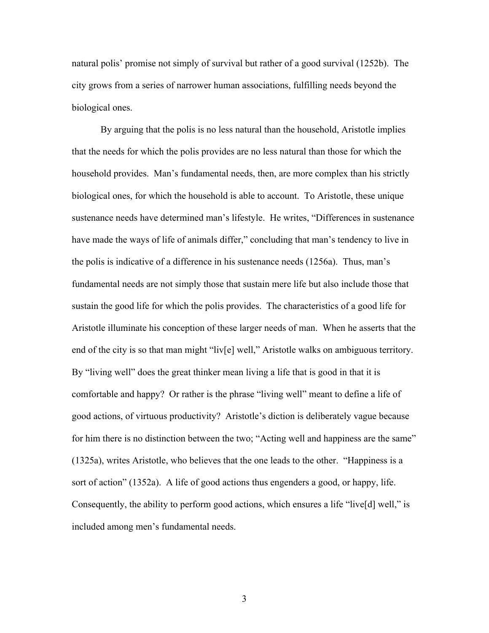natural polis' promise not simply of survival but rather of a good survival (1252b). The city grows from a series of narrower human associations, fulfilling needs beyond the biological ones.

By arguing that the polis is no less natural than the household, Aristotle implies that the needs for which the polis provides are no less natural than those for which the household provides. Man's fundamental needs, then, are more complex than his strictly biological ones, for which the household is able to account. To Aristotle, these unique sustenance needs have determined man's lifestyle. He writes, "Differences in sustenance have made the ways of life of animals differ," concluding that man's tendency to live in the polis is indicative of a difference in his sustenance needs (1256a). Thus, man's fundamental needs are not simply those that sustain mere life but also include those that sustain the good life for which the polis provides. The characteristics of a good life for Aristotle illuminate his conception of these larger needs of man. When he asserts that the end of the city is so that man might "liv[e] well," Aristotle walks on ambiguous territory. By "living well" does the great thinker mean living a life that is good in that it is comfortable and happy? Or rather is the phrase "living well" meant to define a life of good actions, of virtuous productivity? Aristotle's diction is deliberately vague because for him there is no distinction between the two; "Acting well and happiness are the same" (1325a), writes Aristotle, who believes that the one leads to the other. "Happiness is a sort of action" (1352a). A life of good actions thus engenders a good, or happy, life. Consequently, the ability to perform good actions, which ensures a life "live[d] well," is included among men's fundamental needs.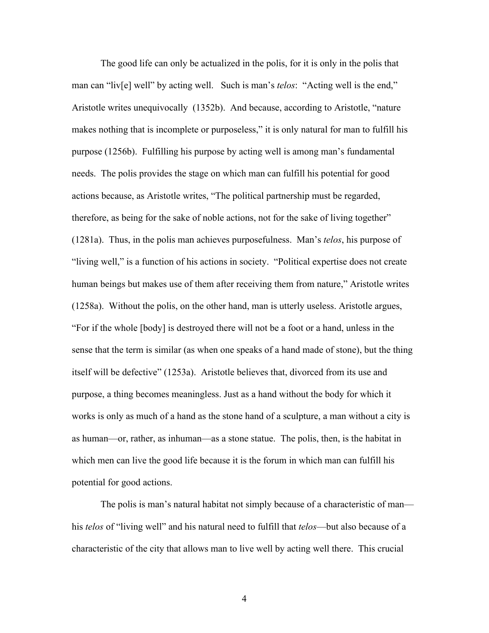The good life can only be actualized in the polis, for it is only in the polis that man can "liv[e] well" by acting well. Such is man's *telos*: "Acting well is the end," Aristotle writes unequivocally (1352b). And because, according to Aristotle, "nature makes nothing that is incomplete or purposeless," it is only natural for man to fulfill his purpose (1256b). Fulfilling his purpose by acting well is among man's fundamental needs. The polis provides the stage on which man can fulfill his potential for good actions because, as Aristotle writes, "The political partnership must be regarded, therefore, as being for the sake of noble actions, not for the sake of living together" (1281a). Thus, in the polis man achieves purposefulness. Man's *telos*, his purpose of "living well," is a function of his actions in society. "Political expertise does not create human beings but makes use of them after receiving them from nature," Aristotle writes (1258a). Without the polis, on the other hand, man is utterly useless. Aristotle argues, "For if the whole [body] is destroyed there will not be a foot or a hand, unless in the sense that the term is similar (as when one speaks of a hand made of stone), but the thing itself will be defective" (1253a). Aristotle believes that, divorced from its use and purpose, a thing becomes meaningless. Just as a hand without the body for which it works is only as much of a hand as the stone hand of a sculpture, a man without a city is as human—or, rather, as inhuman—as a stone statue. The polis, then, is the habitat in which men can live the good life because it is the forum in which man can fulfill his potential for good actions.

The polis is man's natural habitat not simply because of a characteristic of man his *telos* of "living well" and his natural need to fulfill that *telos*—but also because of a characteristic of the city that allows man to live well by acting well there. This crucial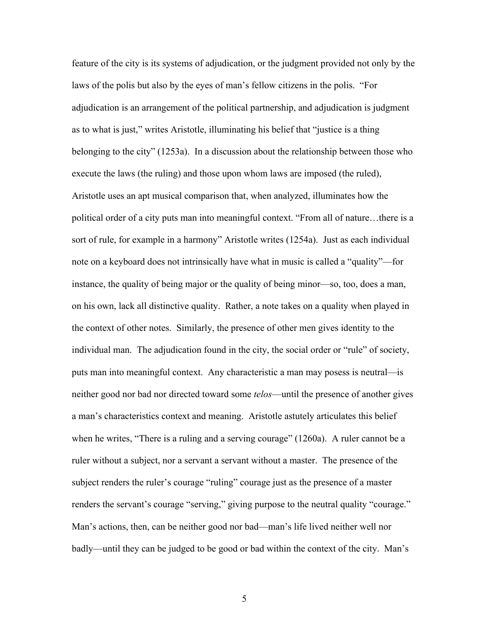feature of the city is its systems of adjudication, or the judgment provided not only by the laws of the polis but also by the eyes of man's fellow citizens in the polis. "For adjudication is an arrangement of the political partnership, and adjudication is judgment as to what is just," writes Aristotle, illuminating his belief that "justice is a thing belonging to the city" (1253a). In a discussion about the relationship between those who execute the laws (the ruling) and those upon whom laws are imposed (the ruled), Aristotle uses an apt musical comparison that, when analyzed, illuminates how the political order of a city puts man into meaningful context. "From all of nature…there is a sort of rule, for example in a harmony" Aristotle writes (1254a). Just as each individual note on a keyboard does not intrinsically have what in music is called a "quality"—for instance, the quality of being major or the quality of being minor—so, too, does a man, on his own, lack all distinctive quality. Rather, a note takes on a quality when played in the context of other notes. Similarly, the presence of other men gives identity to the individual man. The adjudication found in the city, the social order or "rule" of society, puts man into meaningful context. Any characteristic a man may posess is neutral—is neither good nor bad nor directed toward some *telos*—until the presence of another gives a man's characteristics context and meaning. Aristotle astutely articulates this belief when he writes, "There is a ruling and a serving courage" (1260a). A ruler cannot be a ruler without a subject, nor a servant a servant without a master. The presence of the subject renders the ruler's courage "ruling" courage just as the presence of a master renders the servant's courage "serving," giving purpose to the neutral quality "courage." Man's actions, then, can be neither good nor bad—man's life lived neither well nor badly—until they can be judged to be good or bad within the context of the city. Man's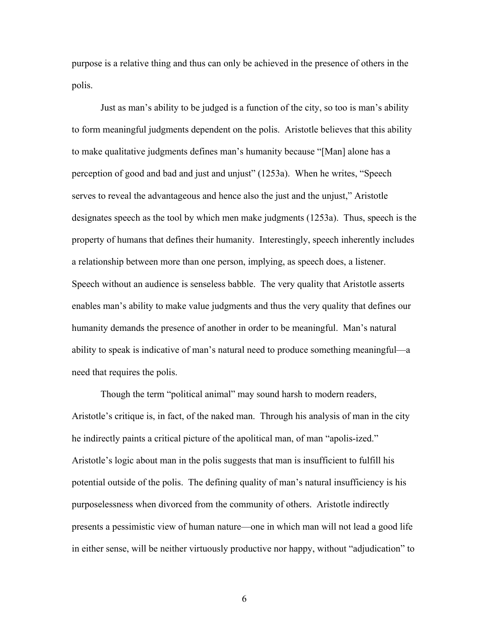purpose is a relative thing and thus can only be achieved in the presence of others in the polis.

Just as man's ability to be judged is a function of the city, so too is man's ability to form meaningful judgments dependent on the polis. Aristotle believes that this ability to make qualitative judgments defines man's humanity because "[Man] alone has a perception of good and bad and just and unjust" (1253a). When he writes, "Speech serves to reveal the advantageous and hence also the just and the unjust," Aristotle designates speech as the tool by which men make judgments (1253a). Thus, speech is the property of humans that defines their humanity. Interestingly, speech inherently includes a relationship between more than one person, implying, as speech does, a listener. Speech without an audience is senseless babble. The very quality that Aristotle asserts enables man's ability to make value judgments and thus the very quality that defines our humanity demands the presence of another in order to be meaningful. Man's natural ability to speak is indicative of man's natural need to produce something meaningful—a need that requires the polis.

Though the term "political animal" may sound harsh to modern readers, Aristotle's critique is, in fact, of the naked man. Through his analysis of man in the city he indirectly paints a critical picture of the apolitical man, of man "apolis-ized." Aristotle's logic about man in the polis suggests that man is insufficient to fulfill his potential outside of the polis. The defining quality of man's natural insufficiency is his purposelessness when divorced from the community of others. Aristotle indirectly presents a pessimistic view of human nature—one in which man will not lead a good life in either sense, will be neither virtuously productive nor happy, without "adjudication" to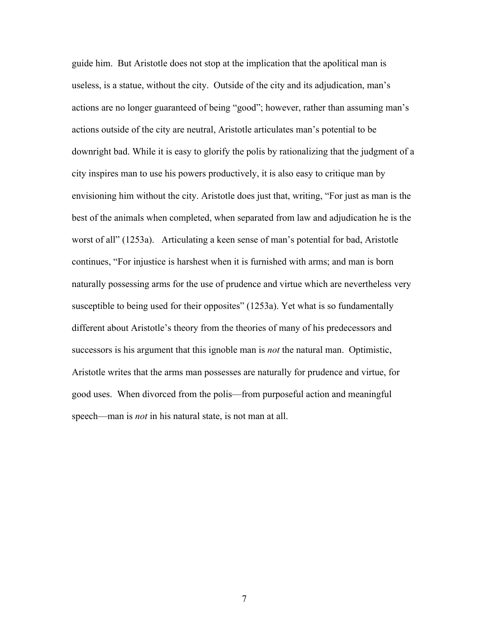guide him. But Aristotle does not stop at the implication that the apolitical man is useless, is a statue, without the city. Outside of the city and its adjudication, man's actions are no longer guaranteed of being "good"; however, rather than assuming man's actions outside of the city are neutral, Aristotle articulates man's potential to be downright bad. While it is easy to glorify the polis by rationalizing that the judgment of a city inspires man to use his powers productively, it is also easy to critique man by envisioning him without the city. Aristotle does just that, writing, "For just as man is the best of the animals when completed, when separated from law and adjudication he is the worst of all" (1253a). Articulating a keen sense of man's potential for bad, Aristotle continues, "For injustice is harshest when it is furnished with arms; and man is born naturally possessing arms for the use of prudence and virtue which are nevertheless very susceptible to being used for their opposites" (1253a). Yet what is so fundamentally different about Aristotle's theory from the theories of many of his predecessors and successors is his argument that this ignoble man is *not* the natural man. Optimistic, Aristotle writes that the arms man possesses are naturally for prudence and virtue, for good uses. When divorced from the polis—from purposeful action and meaningful speech—man is *not* in his natural state, is not man at all.